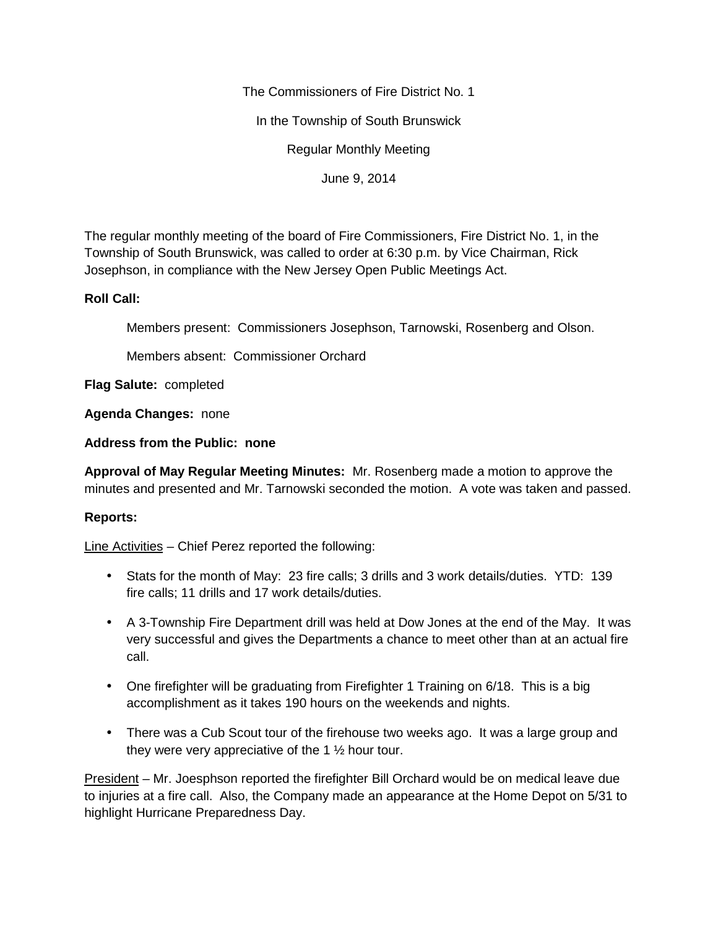The Commissioners of Fire District No. 1

In the Township of South Brunswick

Regular Monthly Meeting

June 9, 2014

The regular monthly meeting of the board of Fire Commissioners, Fire District No. 1, in the Township of South Brunswick, was called to order at 6:30 p.m. by Vice Chairman, Rick Josephson, in compliance with the New Jersey Open Public Meetings Act.

## **Roll Call:**

Members present: Commissioners Josephson, Tarnowski, Rosenberg and Olson.

Members absent: Commissioner Orchard

**Flag Salute:** completed

**Agenda Changes:** none

**Address from the Public: none**

**Approval of May Regular Meeting Minutes:** Mr. Rosenberg made a motion to approve the minutes and presented and Mr. Tarnowski seconded the motion. A vote was taken and passed.

## **Reports:**

Line Activities – Chief Perez reported the following:

- Stats for the month of May: 23 fire calls; 3 drills and 3 work details/duties. YTD: 139 fire calls; 11 drills and 17 work details/duties.
- A 3-Township Fire Department drill was held at Dow Jones at the end of the May. It was very successful and gives the Departments a chance to meet other than at an actual fire call.
- One firefighter will be graduating from Firefighter 1 Training on 6/18. This is a big accomplishment as it takes 190 hours on the weekends and nights.
- There was a Cub Scout tour of the firehouse two weeks ago. It was a large group and they were very appreciative of the 1 ½ hour tour.

President – Mr. Joesphson reported the firefighter Bill Orchard would be on medical leave due to injuries at a fire call. Also, the Company made an appearance at the Home Depot on 5/31 to highlight Hurricane Preparedness Day.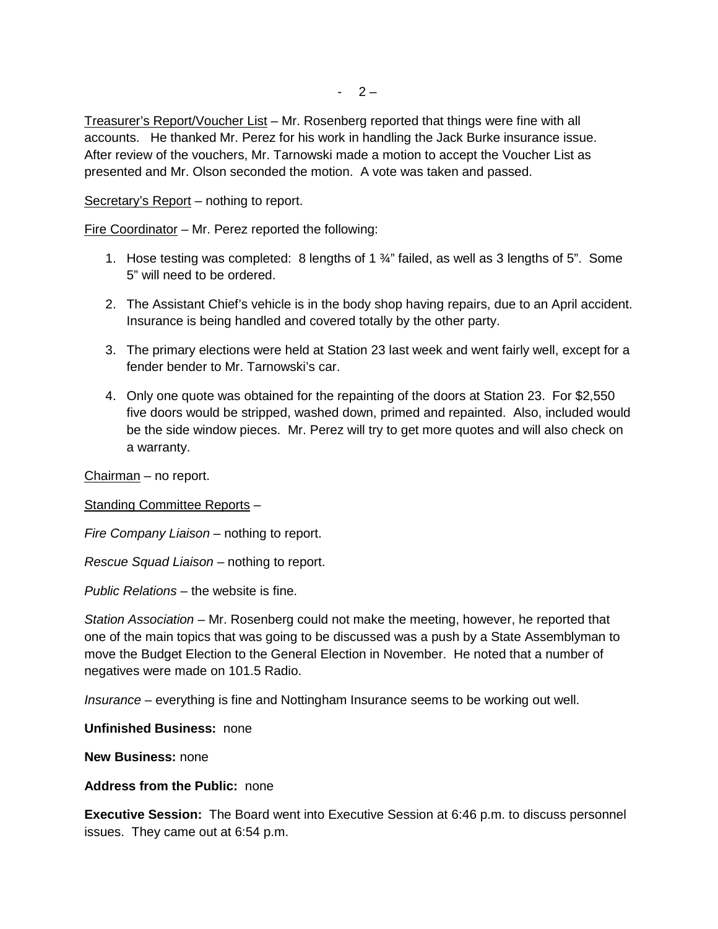Treasurer's Report/Voucher List – Mr. Rosenberg reported that things were fine with all accounts. He thanked Mr. Perez for his work in handling the Jack Burke insurance issue. After review of the vouchers, Mr. Tarnowski made a motion to accept the Voucher List as presented and Mr. Olson seconded the motion. A vote was taken and passed.

Secretary's Report – nothing to report.

Fire Coordinator – Mr. Perez reported the following:

- 1. Hose testing was completed: 8 lengths of 1  $\frac{3}{4}$ " failed, as well as 3 lengths of 5". Some 5" will need to be ordered.
- 2. The Assistant Chief's vehicle is in the body shop having repairs, due to an April accident. Insurance is being handled and covered totally by the other party.
- 3. The primary elections were held at Station 23 last week and went fairly well, except for a fender bender to Mr. Tarnowski's car.
- 4. Only one quote was obtained for the repainting of the doors at Station 23. For \$2,550 five doors would be stripped, washed down, primed and repainted. Also, included would be the side window pieces. Mr. Perez will try to get more quotes and will also check on a warranty.

Chairman – no report.

Standing Committee Reports –

*Fire Company Liaison –* nothing to report.

*Rescue Squad Liaison –* nothing to report.

*Public Relations* – the website is fine.

*Station Association –* Mr. Rosenberg could not make the meeting, however, he reported that one of the main topics that was going to be discussed was a push by a State Assemblyman to move the Budget Election to the General Election in November. He noted that a number of negatives were made on 101.5 Radio.

*Insurance* – everything is fine and Nottingham Insurance seems to be working out well.

**Unfinished Business:** none

**New Business:** none

## **Address from the Public:** none

**Executive Session:** The Board went into Executive Session at 6:46 p.m. to discuss personnel issues. They came out at 6:54 p.m.